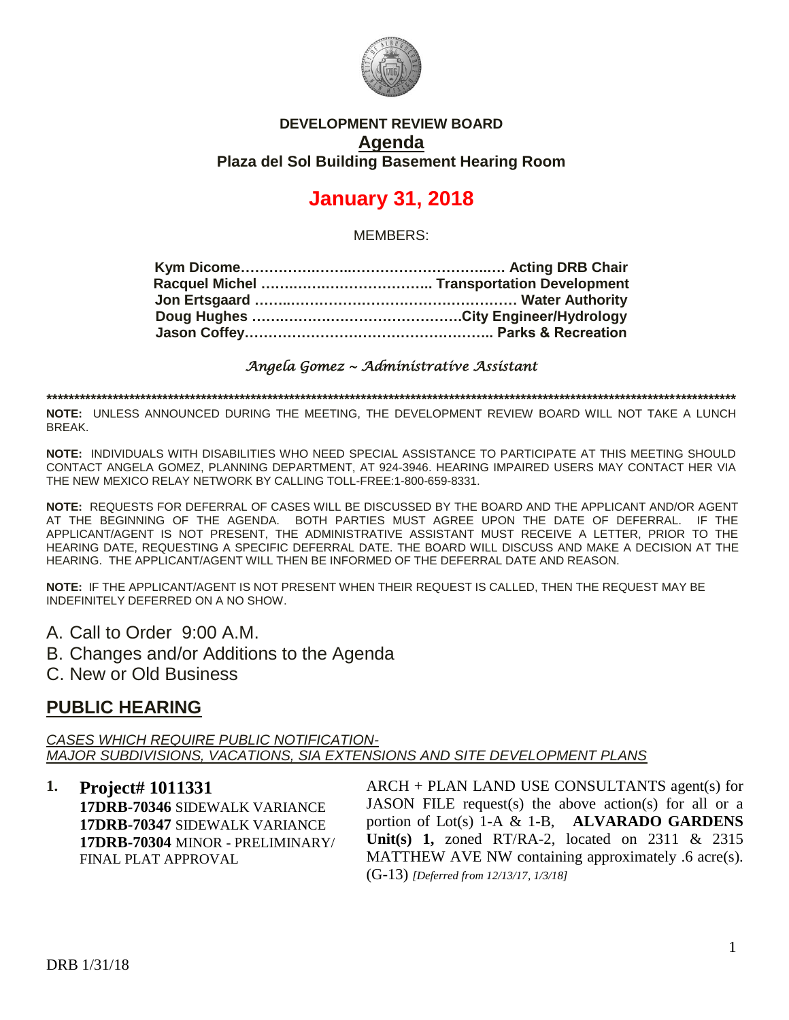

### **DEVELOPMENT REVIEW BOARD Agenda Plaza del Sol Building Basement Hearing Room**

# **January 31, 2018**

MEMBERS:

*Angela Gomez ~ Administrative Assistant* 

**\*\*\*\*\*\*\*\*\*\*\*\*\*\*\*\*\*\*\*\*\*\*\*\*\*\*\*\*\*\*\*\*\*\*\*\*\*\*\*\*\*\*\*\*\*\*\*\*\*\*\*\*\*\*\*\*\*\*\*\*\*\*\*\*\*\*\*\*\*\*\*\*\*\*\*\*\*\*\*\*\*\*\*\*\*\*\*\*\*\*\*\*\*\*\*\*\*\*\*\*\*\*\*\*\*\*\*\*\*\*\*\*\*\*\*\*\*\*\*\*\*\*\*\*\***

**NOTE:** UNLESS ANNOUNCED DURING THE MEETING, THE DEVELOPMENT REVIEW BOARD WILL NOT TAKE A LUNCH BREAK.

**NOTE:** INDIVIDUALS WITH DISABILITIES WHO NEED SPECIAL ASSISTANCE TO PARTICIPATE AT THIS MEETING SHOULD CONTACT ANGELA GOMEZ, PLANNING DEPARTMENT, AT 924-3946. HEARING IMPAIRED USERS MAY CONTACT HER VIA THE NEW MEXICO RELAY NETWORK BY CALLING TOLL-FREE:1-800-659-8331.

**NOTE:** REQUESTS FOR DEFERRAL OF CASES WILL BE DISCUSSED BY THE BOARD AND THE APPLICANT AND/OR AGENT AT THE BEGINNING OF THE AGENDA. BOTH PARTIES MUST AGREE UPON THE DATE OF DEFERRAL. IF THE APPLICANT/AGENT IS NOT PRESENT, THE ADMINISTRATIVE ASSISTANT MUST RECEIVE A LETTER, PRIOR TO THE HEARING DATE, REQUESTING A SPECIFIC DEFERRAL DATE. THE BOARD WILL DISCUSS AND MAKE A DECISION AT THE HEARING. THE APPLICANT/AGENT WILL THEN BE INFORMED OF THE DEFERRAL DATE AND REASON.

**NOTE:** IF THE APPLICANT/AGENT IS NOT PRESENT WHEN THEIR REQUEST IS CALLED, THEN THE REQUEST MAY BE INDEFINITELY DEFERRED ON A NO SHOW.

A. Call to Order 9:00 A.M.

B. Changes and/or Additions to the Agenda

C. New or Old Business

### **PUBLIC HEARING**

*CASES WHICH REQUIRE PUBLIC NOTIFICATION-MAJOR SUBDIVISIONS, VACATIONS, SIA EXTENSIONS AND SITE DEVELOPMENT PLANS*

**1. Project# 1011331**

**17DRB-70346** SIDEWALK VARIANCE **17DRB-70347** SIDEWALK VARIANCE **17DRB-70304** MINOR - PRELIMINARY/ FINAL PLAT APPROVAL

ARCH + PLAN LAND USE CONSULTANTS agent(s) for JASON FILE request(s) the above action(s) for all or a portion of Lot(s) 1-A & 1-B, **ALVARADO GARDENS Unit(s) 1,** zoned RT/RA-2, located on 2311 & 2315 MATTHEW AVE NW containing approximately .6 acre(s). (G-13) *[Deferred from 12/13/17, 1/3/18]*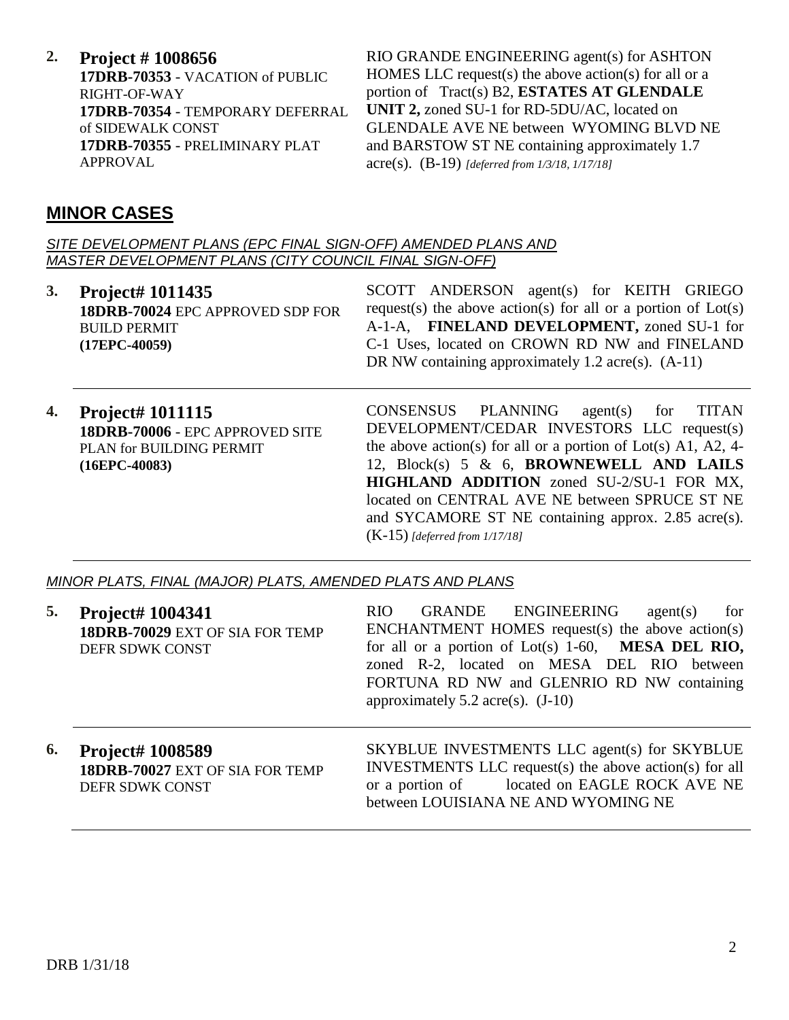**2. Project # 1008656**

**17DRB-70353** - VACATION of PUBLIC RIGHT-OF-WAY **17DRB-70354** - TEMPORARY DEFERRAL of SIDEWALK CONST **17DRB-70355** - PRELIMINARY PLAT APPROVAL

RIO GRANDE ENGINEERING agent(s) for ASHTON HOMES LLC request(s) the above action(s) for all or a portion of Tract(s) B2, **ESTATES AT GLENDALE UNIT 2,** zoned SU-1 for RD-5DU/AC, located on GLENDALE AVE NE between WYOMING BLVD NE and BARSTOW ST NE containing approximately 1.7 acre(s). (B-19) *[deferred from 1/3/18, 1/17/18]*

## **MINOR CASES**

*SITE DEVELOPMENT PLANS (EPC FINAL SIGN-OFF) AMENDED PLANS AND MASTER DEVELOPMENT PLANS (CITY COUNCIL FINAL SIGN-OFF)*

**3. Project# 1011435 18DRB-70024** EPC APPROVED SDP FOR BUILD PERMIT **(17EPC-40059)**

SCOTT ANDERSON agent(s) for KEITH GRIEGO request(s) the above action(s) for all or a portion of  $Lot(s)$ A-1-A, **FINELAND DEVELOPMENT,** zoned SU-1 for C-1 Uses, located on CROWN RD NW and FINELAND DR NW containing approximately 1.2 acre(s).  $(A-11)$ 

**4. Project# 1011115 18DRB-70006** - EPC APPROVED SITE PLAN for BUILDING PERMIT **(16EPC-40083)**

CONSENSUS PLANNING agent(s) for TITAN DEVELOPMENT/CEDAR INVESTORS LLC request(s) the above action(s) for all or a portion of  $Lot(s)$  A1, A2, 4-12, Block(s) 5 & 6, **BROWNEWELL AND LAILS HIGHLAND ADDITION** zoned SU-2/SU-1 FOR MX, located on CENTRAL AVE NE between SPRUCE ST NE and SYCAMORE ST NE containing approx. 2.85 acre(s). (K-15) *[deferred from 1/17/18]*

*MINOR PLATS, FINAL (MAJOR) PLATS, AMENDED PLATS AND PLANS*

| 5. | <b>Project# 1004341</b><br>18DRB-70029 EXT OF SIA FOR TEMP<br>DEFR SDWK CONST | GRANDE ENGINEERING<br>RIO.<br>agent(s)<br>for<br>ENCHANTMENT HOMES request(s) the above $action(s)$<br>for all or a portion of Lot(s) 1-60, MESA DEL RIO,<br>zoned R-2, located on MESA DEL RIO between<br>FORTUNA RD NW and GLENRIO RD NW containing<br>approximately $5.2$ acre(s). $(J-10)$ |
|----|-------------------------------------------------------------------------------|------------------------------------------------------------------------------------------------------------------------------------------------------------------------------------------------------------------------------------------------------------------------------------------------|
| 6. | <b>Project# 1008589</b><br>18DRB-70027 EXT OF SIA FOR TEMP<br>DEFR SDWK CONST | SKYBLUE INVESTMENTS LLC agent(s) for SKYBLUE<br>INVESTMENTS LLC request(s) the above action(s) for all<br>or a portion of located on EAGLE ROCK AVE NE<br>between LOUISIANA NE AND WYOMING NE                                                                                                  |